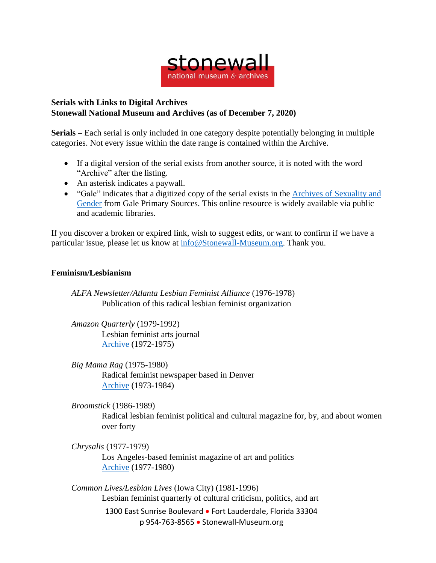

## **Serials with Links to Digital Archives Stonewall National Museum and Archives (as of December 7, 2020)**

**Serials –** Each serial is only included in one category despite potentially belonging in multiple categories. Not every issue within the date range is contained within the Archive.

- If a digital version of the serial exists from another source, it is noted with the word "Archive" after the listing.
- An asterisk indicates a paywall.
- "Gale" indicates that a digitized copy of the serial exists in the Archives of [Sexuality](https://www.gale.com/primary-sources/archives-of-sexuality-and-gender) and [Gender](https://www.gale.com/primary-sources/archives-of-sexuality-and-gender) from Gale Primary Sources. This online resource is widely available via public and academic libraries.

If you discover a broken or expired link, wish to suggest edits, or want to confirm if we have a particular issue, please let us know at [info@Stonewall-Museum.org.](mailto:info@Stonewall-Museum.org) Thank you.

## **Feminism/Lesbianism**

*ALFA Newsletter/Atlanta Lesbian Feminist Alliance* (1976-1978) Publication of this radical lesbian feminist organization

*Amazon Quarterly* (1979-1992) Lesbian feminist arts journal [Archive](https://voices.revealdigital.org/?a=cl&cl=CL1&sp=CHFAFHB&ai=1&e=-------en-20--1--txt-txIN---------------1) (1972-1975)

- *Big Mama Rag* (1975-1980) Radical feminist newspaper based in Denver [Archive](https://voices.revealdigital.org/?a=cl&cl=CL1&sp=CDCABBEE&ai=1&) (1973-1984)
- *Broomstick* (1986-1989)

Radical lesbian feminist political and cultural magazine for, by, and about women over forty

*Chrysalis* (1977-1979)

Los Angeles-based feminist magazine of art and politics [Archive](https://voices.revealdigital.org/?a=cl&cl=CL1&sp=DBCIDBB&ai=1&e=-------en-20--1--txt-txIN---------------1) (1977-1980)

1300 East Sunrise Boulevard • Fort Lauderdale, Florida 33304 p 954-763-8565 • Stonewall-Museum.org *Common Lives/Lesbian Lives* (Iowa City) (1981-1996) Lesbian feminist quarterly of cultural criticism, politics, and art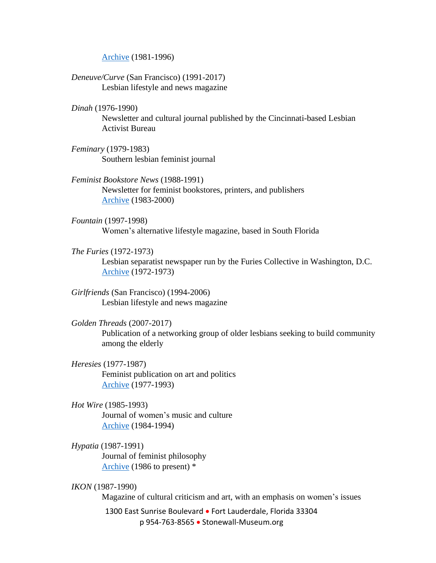[Archive](https://voices.revealdigital.org/?a=cl&cl=CL1&sp=ICDEABE&ai=1&) (1981-1996)

*Deneuve/Curve* (San Francisco) (1991-2017) Lesbian lifestyle and news magazine

*Dinah* (1976-1990)

Newsletter and cultural journal published by the Cincinnati-based Lesbian Activist Bureau

*Feminary* (1979-1983) Southern lesbian feminist journal

*Feminist Bookstore News* (1988-1991) Newsletter for feminist bookstores, printers, and publishers [Archive](https://voices.revealdigital.org/?a=cl&cl=CL1&sp=BABJGEEA&ai=1&e=-------en-20--1--txt-txIN---------------1) (1983-2000)

*Fountain* (1997-1998) Women's alternative lifestyle magazine, based in South Florida

*The Furies* (1972-1973)

Lesbian separatist newspaper run by the Furies Collective in Washington, D.C. [Archive](https://voices.revealdigital.org/cgi-bin/independentvoices?a=cl&cl=CL1&sp=CDDEJEE&ai=1&e=-------en-20--1--txt-txIN---------------1) (1972-1973)

*Girlfriends* (San Francisco) (1994-2006) Lesbian lifestyle and news magazine

## *Golden Threads* (2007-2017)

Publication of a networking group of older lesbians seeking to build community among the elderly

*Heresies* (1977-1987) Feminist publication on art and politics [Archive](https://voices.revealdigital.org/?a=cl&cl=CL1&sp=CJBHGII&ai=1&e=-------en-20--1--txt-txIN---------------1) (1977-1993)

*Hot Wire* (1985-1993) Journal of women's music and culture [Archive](http://www.hotwirejournal.com/hwmag.html) (1984-1994)

- *Hypatia* (1987-1991) Journal of feminist philosophy [Archive](https://www.cambridge.org/core/journals/hypatia/all-issues) (1986 to present) \*
- *IKON* (1987-1990)

Magazine of cultural criticism and art, with an emphasis on women's issues

1300 East Sunrise Boulevard • Fort Lauderdale, Florida 33304 p 954-763-8565 • Stonewall-Museum.org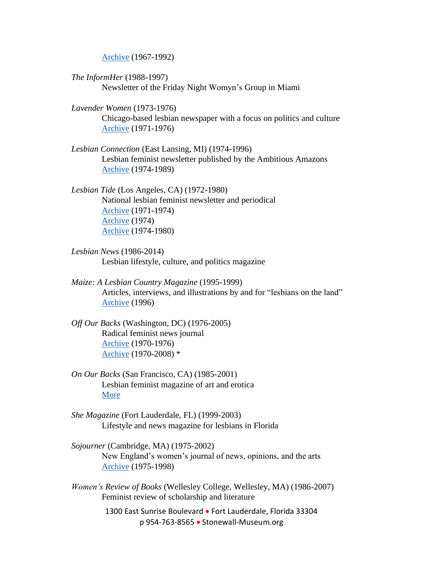[Archive](https://voices.revealdigital.org/?a=cl&cl=CL1&sp=BDEGAECD&ai=1&e=-------en-20--1--txt-txIN---------------1) (1967-1992)

- *The InformHer* (1988-1997) Newsletter of the Friday Night Womyn's Group in Miami
- *Lavender Women* (1973-1976) Chicago-based lesbian newspaper with a focus on politics and culture [Archive](https://voices.revealdigital.org/?a=cl&cl=CL1&sp=CIIJGIFA&ai=1&e=-------en-20--1--txt-txIN---------------1) (1971-1976)
- *Lesbian Connection* (East Lansing, MI) (1974-1996) Lesbian feminist newsletter published by the Ambitious Amazons [Archive](https://voices.revealdigital.org/?a=cl&cl=CL1&sp=BAHDEACD&ai=1&e=-------en-20--1--txt-txIN---------------1) (1974-1989)

*Lesbian Tide* (Los Angeles, CA) (1972-1980) National lesbian feminist newsletter and periodical [Archive](https://voices.revealdigital.org/cgi-bin/independentvoices?a=cl&cl=CL1&sp=DBDHFED&ai=1&e=-------en-20--1--txt-txIN---------------1) (1971-1974) [Archive](https://voices.revealdigital.org/cgi-bin/independentvoices?a=cl&cl=CL1&sp=EFGABGF&ai=1&e=-------en-20--1--txt-txIN---------------1) (1974) [Archive](https://voices.revealdigital.org/?a=cl&cl=CL1&sp=EFGABHD&ai=1&e=-------en-20--1--txt-txIN---------------1) (1974-1980)

- *Lesbian News* (1986-2014) Lesbian lifestyle, culture, and politics magazine
- *Maize: A Lesbian Country Magazine* (1995-1999) Articles, interviews, and illustrations by and for "lesbians on the land" [Archive](http://www.lesbianpoetryarchive.org/sites/default/files/MaizeNumber49Spring1996.pdf) (1996)
- *Off Our Backs* (Washington, DC) (1976-2005) Radical feminist news journal [Archive](https://voices.revealdigital.org/?a=cl&cl=CL1&sp=BADICEB&ai=1&) (1970-1976) [Archive](https://www.jstor.org/journal/offourbacks) (1970-2008) \*
- *On Our Backs* (San Francisco, CA) (1985-2001) Lesbian feminist magazine of art and erotica [More](https://susiebright.blogs.com/history_of_oob.pdf)
- *She Magazine* (Fort Lauderdale, FL) (1999-2003) Lifestyle and news magazine for lesbians in Florida
- *Sojourner* (Cambridge, MA) (1975-2002) New England's women's journal of news, opinions, and the arts [Archive](https://voices.revealdigital.org/?a=cl&cl=CL1&sp=EGFGCHH&ai=1&e=-------en-20--1--txt-txIN---------------1) (1975-1998)
- *Women's Review of Books* (Wellesley College, Wellesley, MA) (1986-2007) Feminist review of scholarship and literature

1300 East Sunrise Boulevard • Fort Lauderdale, Florida 33304 p 954-763-8565 • Stonewall-Museum.org